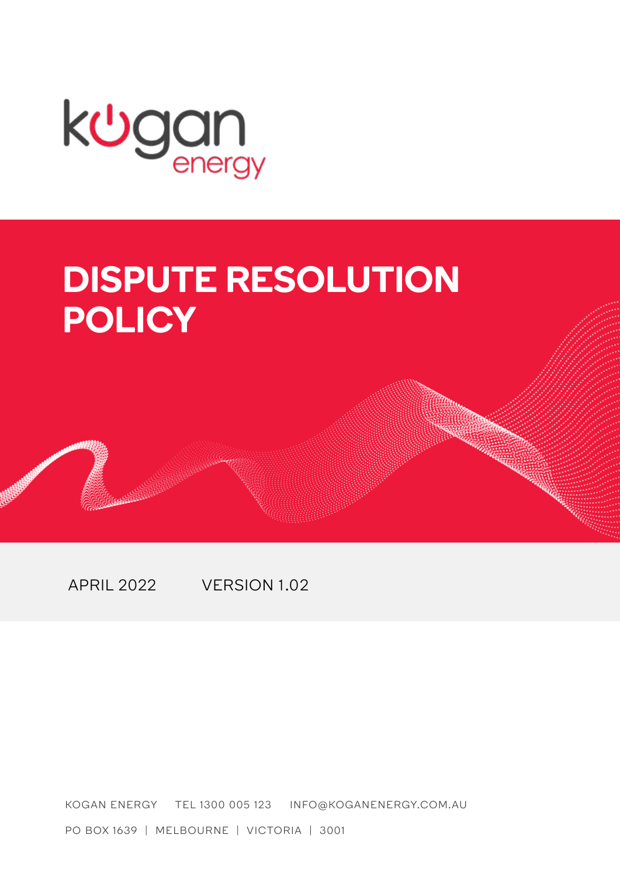

# **DISPUTE RESOLUTION POLICY**

APRIL 2022 VERSION 1.02

KOGAN ENERGY TEL 1300 005 123 INFO@KOGANENERGY.COM.AU

PO BOX 1639 | MELBOURNE | VICTORIA | 3001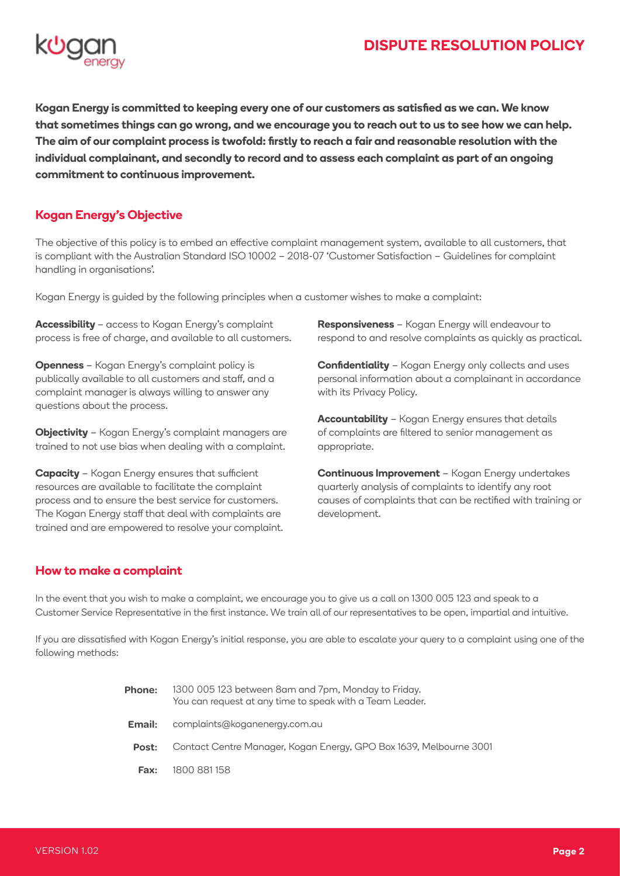# **DISPUTE RESOLUTION POLICY**



**Kogan Energy is committed to keeping every one of our customers as satisfied as we can. We know that sometimes things can go wrong, and we encourage you to reach out to us to see how we can help. The aim of our complaint process is twofold: firstly to reach a fair and reasonable resolution with the individual complainant, and secondly to record and to assess each complaint as part of an ongoing commitment to continuous improvement.**

# **Kogan Energy's Objective**

The objective of this policy is to embed an effective complaint management system, available to all customers, that is compliant with the Australian Standard ISO 10002 – 2018-07 'Customer Satisfaction – Guidelines for complaint handling in organisations'.

Kogan Energy is guided by the following principles when a customer wishes to make a complaint:

**Accessibility** – access to Kogan Energy's complaint process is free of charge, and available to all customers.

**Openness** – Kogan Energy's complaint policy is publically available to all customers and staff, and a complaint manager is always willing to answer any questions about the process.

**Objectivity** – Kogan Energy's complaint managers are trained to not use bias when dealing with a complaint.

**Capacity** – Kogan Energy ensures that sufficient resources are available to facilitate the complaint process and to ensure the best service for customers. The Kogan Energy staff that deal with complaints are trained and are empowered to resolve your complaint. **Responsiveness** – Kogan Energy will endeavour to respond to and resolve complaints as quickly as practical.

**Confidentiality** – Kogan Energy only collects and uses personal information about a complainant in accordance with its Privacy Policy.

**Accountability** – Kogan Energy ensures that details of complaints are filtered to senior management as appropriate.

**Continuous Improvement** – Kogan Energy undertakes quarterly analysis of complaints to identify any root causes of complaints that can be rectified with training or development.

### **How to make a complaint**

In the event that you wish to make a complaint, we encourage you to give us a call on 1300 005 123 and speak to a Customer Service Representative in the first instance. We train all of our representatives to be open, impartial and intuitive.

If you are dissatisfied with Kogan Energy's initial response, you are able to escalate your query to a complaint using one of the following methods:

| <b>Phone:</b> | 1300 005 123 between 8am and 7pm, Monday to Friday.<br>You can request at any time to speak with a Team Leader. |
|---------------|-----------------------------------------------------------------------------------------------------------------|
| Email:        | complaints@koganenergy.com.au                                                                                   |
| Post:         | Contact Centre Manager, Kogan Energy, GPO Box 1639, Melbourne 3001                                              |
| Fax:          | 1800 881 158                                                                                                    |